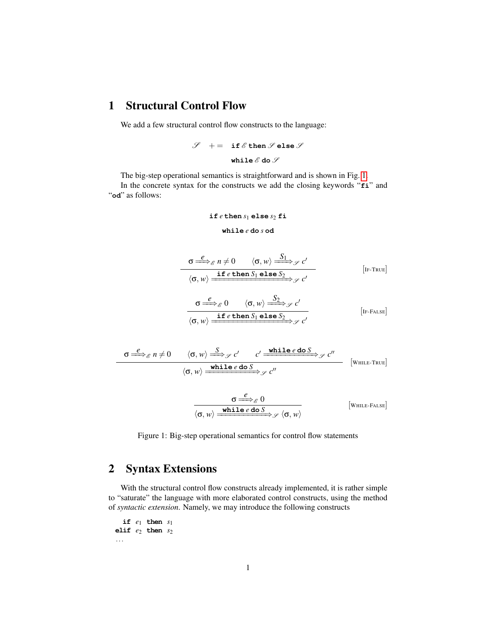#### 1 Structural Control Flow

We add a few structural control flow constructs to the language:

$$
\begin{array}{lcl} \mathscr{S} & + = & \text{if } \mathscr{E} \, \text{then } \mathscr{S} \, \text{else } \mathscr{S} \\[2mm] & & \text{while } \mathscr{E} \, \text{do } \mathscr{S} \end{array}
$$

The big-step operational semantics is straightforward and is shown in Fig. [1.](#page-0-0) In the concrete syntax for the constructs we add the closing keywords "**fi**" and "**od**" as follows:

if 
$$
e
$$
 then  $s_1$  else  $s_2$  fi  
while  $e$  do  $s$  od

<span id="page-0-0"></span>
$$
\frac{\sigma \stackrel{e}{\Longrightarrow}_{\mathscr{E}} n \neq 0 \qquad \langle \sigma, w \rangle \stackrel{S_1}{\Longrightarrow}_{\mathscr{S}} c'}{\langle \sigma, w \rangle \stackrel{\text{if } e \text{ then } S_1 \text{ else } S_2}{\langle \sigma, w \rangle \stackrel{\text{if } e \text{ then } S_1 \text{ else } S_2}{\langle \sigma, w \rangle \stackrel{\text{if } e \text{ then } S_1 \text{ else } S_2}{\langle \sigma, w \rangle \stackrel{\text{if } e \text{ then } S_1 \text{ else } S_2}{\langle \sigma, w \rangle \stackrel{\text{if } e \text{ then } S_1 \text{ else } S_2}{\langle \sigma, w \rangle \stackrel{\text{if } e \text{ then } S_1 \text{ else } S_2}{\langle \sigma, w \rangle \stackrel{\text{if } e \text{ then } S_1 \text{ else } S_2}{\langle \sigma, w \rangle \stackrel{\text{if } e \text{ then } S_1 \text{ else } S_2}{\langle \sigma, w \rangle \stackrel{\text{if } e \text{ then } S_1 \text{ else } S_2}{\langle \sigma, w \rangle \stackrel{\text{if } e \text{ then } S_1 \text{ else } S_2}{\langle \sigma, w \rangle \stackrel{\text{if } e \text{ then } S_1 \text{ else } S_2}{\langle \sigma, w \rangle \stackrel{\text{if } e \text{ then } S_1 \text{ else } S_2}{\langle \sigma, w \rangle \stackrel{\text{if } e \text{ then } S_1 \text{ else } S_2}{\langle \sigma, w \rangle \stackrel{\text{if } e \text{ then } S_1 \text{ else } S_2}{\langle \sigma, w \rangle \stackrel{\text{if } e \text{ then } S_1 \text{ else } S_2}{\langle \sigma, w \rangle \stackrel{\text{if } e \text{ then } S_1 \text{ else } S_2}{\langle \sigma, w \rangle \stackrel{\text{if } e \text{ then } S_1 \text{ else } S_2}{\langle \sigma, w \rangle \stackrel{\text{if } e \text{ then } S_1 \text{ else } S_2}{\langle \sigma, w \rangle \stackrel{\text{if } e \text{ then } S_1 \text{ else } S_2}{\langle \sigma, w \rangle \stackrel{\text{if } e \text{ then } S_1 \text{ else } S_2}{\langle \sigma, w \rangle \stackrel{\text{if } e \text{ then } S_1
$$

$$
\frac{\sigma \stackrel{e}{\iff}_{\mathscr{E}} n \neq 0 \qquad \langle \sigma, w \rangle \stackrel{S}{\iff}_{\mathscr{S}} c' \qquad c' \stackrel{\text{while } e \text{ do } S}{\iff}_{\mathscr{S}} c''}{\langle \sigma, w \rangle \stackrel{\text{while } e \text{ do } S}{\iff}_{\mathscr{S}} c''} \qquad \text{[WHLE-TRUE]}
$$

$$
\frac{\sigma \stackrel{\ell}{\Longrightarrow}_{\mathcal{E}} 0}{\langle \sigma, w \rangle \xrightarrow{\text{while } \ell \text{ do } S} \mathcal{S}} \langle \sigma, w \rangle
$$
 [While-Fales]

Figure 1: Big-step operational semantics for control flow statements

## 2 Syntax Extensions

With the structural control flow constructs already implemented, it is rather simple to "saturate" the language with more elaborated control constructs, using the method of *syntactic extension*. Namely, we may introduce the following constructs

**if** *e*<sup>1</sup> **then** *s*<sup>1</sup> **elif** *e*<sup>2</sup> **then** *s*<sup>2</sup> ...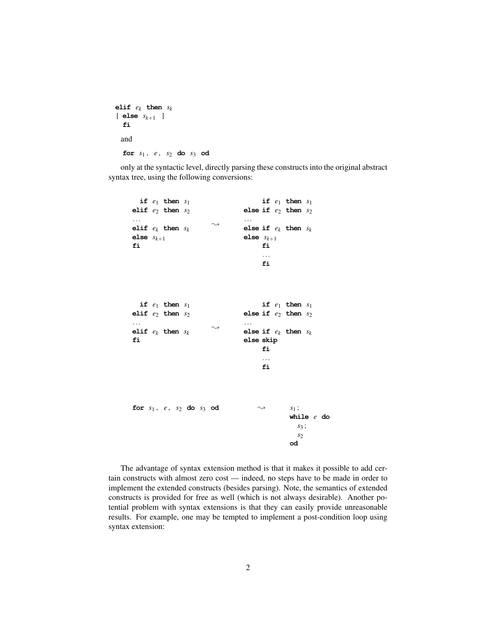```
elif ek then sk
[ else sk+1 ]
  fi
 and
  for s1 , e , s2 do s3 od
```
only at the syntactic level, directly parsing these constructs into the original abstract syntax tree, using the following conversions:

```
if e1 then s1
elif e2 then s2
...
elif ek then sk
else sk+1
fi
                       \rightsquigarrowif e1 then s1
                                else if e2 then s2
                                 ...
                                else if e_k then s_kelse sk+1
                                      fi
                                      ...
                                      fi
  if e1 then s1
elif e2 then s2
...
elif ek then sk
fi
                       \rightsquigarrowif e1 then s1
                                else if e2 then s2
                                 ...
                                else if e_k then s_kelse skip
                                      fi
                                      ...
                                      fi
for s_1, e, s_2 do s_3 od \sim s_1;
                                              while e do
                                                s3 ;
                                                s2
                                              od
```
The advantage of syntax extension method is that it makes it possible to add certain constructs with almost zero cost — indeed, no steps have to be made in order to implement the extended constructs (besides parsing). Note, the semantics of extended constructs is provided for free as well (which is not always desirable). Another potential problem with syntax extensions is that they can easily provide unreasonable results. For example, one may be tempted to implement a post-condition loop using syntax extension: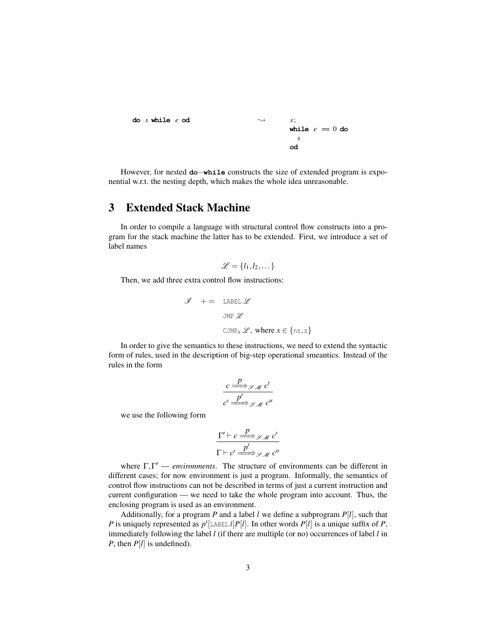```
do s while e od \sim s;
                            while e == 0 dos
                            od
```
However, for nested **do**−**while** constructs the size of extended program is exponential w.r.t. the nesting depth, which makes the whole idea unreasonable.

### 3 Extended Stack Machine

In order to compile a language with structural control flow constructs into a program for the stack machine the latter has to be extended. First, we introduce a set of label names

$$
\mathcal{L} = \{l_1, l_2, \dots\}
$$

Then, we add three extra control flow instructions:

$$
\mathcal{J} + = \text{LABEL } \mathcal{L}
$$
  
\n
$$
\text{JMP } \mathcal{L}
$$
  
\n
$$
\text{CJMP}_x \mathcal{L}, \text{ where } x \in \{nz, z\}
$$

In order to give the semantics to these instructions, we need to extend the syntactic form of rules, used in the description of big-step operational smeantics. Instead of the rules in the form

$$
\frac{c \stackrel{p}{\Longrightarrow}_{\mathscr{S} M} c'}{c' \stackrel{p'}{\Longrightarrow}_{\mathscr{S} M} c''}
$$

we use the following form

$$
\frac{\Gamma' \vdash c \stackrel{p}{\Longrightarrow}_{\mathcal{S} \mathcal{M}} c'}{\Gamma \vdash c' \stackrel{p'}{\Longrightarrow}_{\mathcal{S} \mathcal{M}} c''}
$$

where  $\Gamma, \Gamma'$  — *environments*. The structure of environments can be different in different cases; for now environment is just a program. Informally, the semantics of control flow instructions can not be described in terms of just a current instruction and current configuration — we need to take the whole program into account. Thus, the enclosing program is used as an environment.

Additionally, for a program P and a label *l* we define a subprogram  $P[l]$ , such that *P* is uniquely represented as  $p'$  [LABEL *l*] $P[l]$ . In other words  $P[l]$  is a unique suffix of *P*, immediately following the label *l* (if there are multiple (or no) occurrences of label *l* in *P*, then  $P[l]$  is undefined).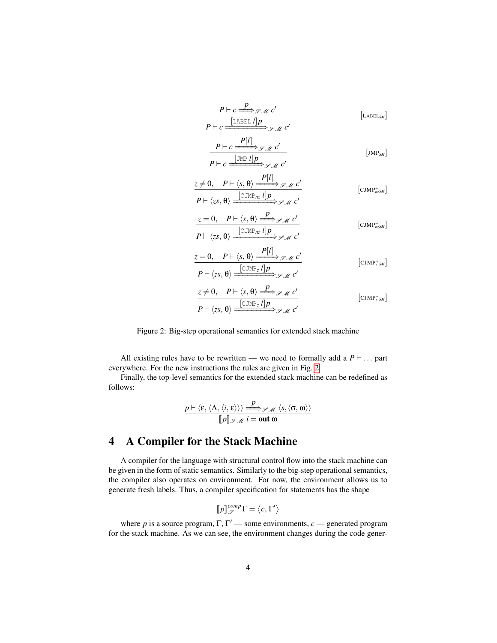<span id="page-3-0"></span>
$$
\frac{P \vdash c \xrightarrow{P} \mathcal{S} \mathcal{M} c'}{P \vdash c \xrightarrow{[LABEL} I] P} \mathcal{S} \mathcal{M} c' \qquad [LABEL_{SM}]
$$
\n
$$
\frac{P \vdash c \xrightarrow{[JMP] P} \mathcal{S} \mathcal{M} c'}{P \vdash c \xrightarrow{[JMP] P} \mathcal{S} \mathcal{M} c'} \qquad [JMP_{SM}]
$$
\n
$$
\frac{z \neq 0, \quad P \vdash \langle s, \theta \rangle \xrightarrow{[CJMP_{RZ} I] P} \mathcal{S} \mathcal{M} c'}{P \vdash \langle zs, \theta \rangle \xrightarrow{[CJMP_{RZ} I] P} \mathcal{S} \mathcal{M} c'} \qquad [CIMP_{nzSM}]
$$
\n
$$
\frac{z = 0, \quad P \vdash \langle s, \theta \rangle \xrightarrow{[CJMP_{RZ} I] P} \mathcal{S} \mathcal{M} c'}{P \vdash \langle zs, \theta \rangle \xrightarrow{[CJMP_{RZ} I] P} \mathcal{S} \mathcal{M} c'} \qquad [CIMP_{nzSM}]
$$
\n
$$
P \vdash \langle zs, \theta \rangle \xrightarrow{[CJMP_{Z} I] P} \mathcal{S} \mathcal{M} c' \qquad [CIMP_{zSM}]
$$
\n
$$
\frac{z \neq 0, \quad P \vdash \langle s, \theta \rangle \xrightarrow{P} \mathcal{S} \mathcal{M} c'}{P \vdash \langle xs, \theta \rangle \xrightarrow{[CJMP_{Z} I] P} \mathcal{S} \mathcal{M} c'} \qquad [CIMP_{zSM}]
$$

Figure 2: Big-step operational semantics for extended stack machine

All existing rules have to be rewritten — we need to formally add a  $P \vdash \dots$  part everywhere. For the new instructions the rules are given in Fig. [2.](#page-3-0)

Finally, the top-level semantics for the extended stack machine can be redefined as follows:

$$
\frac{p \vdash \langle \varepsilon, \langle \Lambda, \langle i, \varepsilon \rangle \rangle \rangle \xrightarrow{p} \mathscr{S}_{\mathscr{M}} \langle s, \langle \sigma, \omega \rangle \rangle}{[p] \mathscr{S}_{\mathscr{M}} i = \text{out } \omega}
$$

# 4 A Compiler for the Stack Machine

A compiler for the language with structural control flow into the stack machine can be given in the form of static semantics. Similarly to the big-step operational semantics, the compiler also operates on environment. For now, the environment allows us to generate fresh labels. Thus, a compiler specification for statements has the shape

$$
\llbracket p \rrbracket_{\mathcal{S}}^{comp} \Gamma = \langle c, \Gamma' \rangle
$$

where *p* is a source program,  $\Gamma$ ,  $\Gamma'$  — some environments, *c* — generated program for the stack machine. As we can see, the environment changes during the code gener